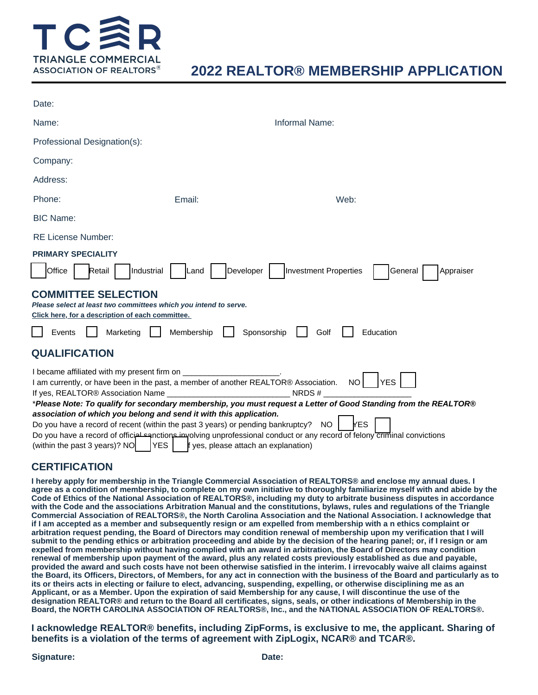

# **2022 REALTOR® MEMBERSHIP APPLICATION**

| Date:                                                                                                                                                                                                                                         |        |                                                                                                                          |  |  |  |  |
|-----------------------------------------------------------------------------------------------------------------------------------------------------------------------------------------------------------------------------------------------|--------|--------------------------------------------------------------------------------------------------------------------------|--|--|--|--|
| Name:                                                                                                                                                                                                                                         |        | Informal Name:                                                                                                           |  |  |  |  |
| Professional Designation(s):                                                                                                                                                                                                                  |        |                                                                                                                          |  |  |  |  |
| Company:                                                                                                                                                                                                                                      |        |                                                                                                                          |  |  |  |  |
| Address:                                                                                                                                                                                                                                      |        |                                                                                                                          |  |  |  |  |
| Phone:                                                                                                                                                                                                                                        | Email: | Web:                                                                                                                     |  |  |  |  |
| <b>BIC Name:</b>                                                                                                                                                                                                                              |        |                                                                                                                          |  |  |  |  |
| <b>RE License Number:</b>                                                                                                                                                                                                                     |        |                                                                                                                          |  |  |  |  |
| <b>PRIMARY SPECIALITY</b>                                                                                                                                                                                                                     |        |                                                                                                                          |  |  |  |  |
| Office<br>Industrial<br>Retail<br><b>COMMITTEE SELECTION</b><br>Please select at least two committees which you intend to serve.                                                                                                              | Land   | <b>Investment Properties</b><br>Developer<br>Appraiser<br>General                                                        |  |  |  |  |
| Click here, for a description of each committee.                                                                                                                                                                                              |        |                                                                                                                          |  |  |  |  |
| Membership<br>Sponsorship<br>Events<br>Marketing<br>Education<br>Golf                                                                                                                                                                         |        |                                                                                                                          |  |  |  |  |
| <b>QUALIFICATION</b>                                                                                                                                                                                                                          |        |                                                                                                                          |  |  |  |  |
| I became affiliated with my present firm on ________________________.<br><b>NO</b><br><b>YES</b><br>I am currently, or have been in the past, a member of another REALTOR® Association.<br>If yes, REALTOR® Association Name ______<br>NRDS # |        |                                                                                                                          |  |  |  |  |
| *Please Note: To qualify for secondary membership, you must request a Letter of Good Standing from the REALTOR®                                                                                                                               |        |                                                                                                                          |  |  |  |  |
| association of which you belong and send it with this application.                                                                                                                                                                            |        |                                                                                                                          |  |  |  |  |
| <b>YES</b><br>Do you have a record of recent (within the past 3 years) or pending bankruptcy?<br>NO.                                                                                                                                          |        |                                                                                                                          |  |  |  |  |
|                                                                                                                                                                                                                                               |        | Do you have a record of official sanctions importing unprofessional conduct or any record of felony criminal convictions |  |  |  |  |
| (within the past 3 years)? NO<br>f yes, please attach an explanation)<br><b>YES</b>                                                                                                                                                           |        |                                                                                                                          |  |  |  |  |

## **CERTIFICATION**

**I hereby apply for membership in the Triangle Commercial Association of REALTORS® and enclose my annual dues. I agree as a condition of membership, to complete on my own initiative to thoroughly familiarize myself with and abide by the Code of Ethics of the National Association of REALTORS®, including my duty to arbitrate business disputes in accordance with the Code and the associations Arbitration Manual and the constitutions, bylaws, rules and regulations of the Triangle Commercial Association of REALTORS®, the North Carolina Association and the National Association. I acknowledge that if I am accepted as a member and subsequently resign or am expelled from membership with a n ethics complaint or arbitration request pending, the Board of Directors may condition renewal of membership upon my verification that I will submit to the pending ethics or arbitration proceeding and abide by the decision of the hearing panel; or, if I resign or am expelled from membership without having complied with an award in arbitration, the Board of Directors may condition renewal of membership upon payment of the award, plus any related costs previously established as due and payable, provided the award and such costs have not been otherwise satisfied in the interim. I irrevocably waive all claims against the Board, its Officers, Directors, of Members, for any act in connection with the business of the Board and particularly as to its or theirs acts in electing or failure to elect, advancing, suspending, expelling, or otherwise disciplining me as an Applicant, or as a Member. Upon the expiration of said Membership for any cause, I will discontinue the use of the designation REALTOR® and return to the Board all certificates, signs, seals, or other indications of Membership in the Board, the NORTH CAROLINA ASSOCIATION OF REALTORS®, Inc., and the NATIONAL ASSOCIATION OF REALTORS®.**

**I acknowledge REALTOR® benefits, including ZipForms, is exclusive to me, the applicant. Sharing of benefits is a violation of the terms of agreement with ZipLogix, NCAR® and TCAR®.**

#### **Signature:**